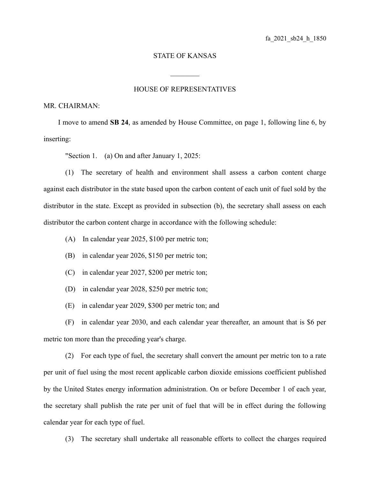## STATE OF KANSAS

 $\mathcal{L}_\text{max}$ 

## HOUSE OF REPRESENTATIVES

## MR. CHAIRMAN:

I move to amend **SB 24**, as amended by House Committee, on page 1, following line 6, by inserting:

"Section 1. (a) On and after January 1, 2025:

(1) The secretary of health and environment shall assess a carbon content charge against each distributor in the state based upon the carbon content of each unit of fuel sold by the distributor in the state. Except as provided in subsection (b), the secretary shall assess on each distributor the carbon content charge in accordance with the following schedule:

- (A) In calendar year 2025, \$100 per metric ton;
- (B) in calendar year 2026, \$150 per metric ton;
- (C) in calendar year 2027, \$200 per metric ton;
- (D) in calendar year 2028, \$250 per metric ton;
- (E) in calendar year 2029, \$300 per metric ton; and

(F) in calendar year 2030, and each calendar year thereafter, an amount that is \$6 per metric ton more than the preceding year's charge.

(2) For each type of fuel, the secretary shall convert the amount per metric ton to a rate per unit of fuel using the most recent applicable carbon dioxide emissions coefficient published by the United States energy information administration. On or before December 1 of each year, the secretary shall publish the rate per unit of fuel that will be in effect during the following calendar year for each type of fuel.

(3) The secretary shall undertake all reasonable efforts to collect the charges required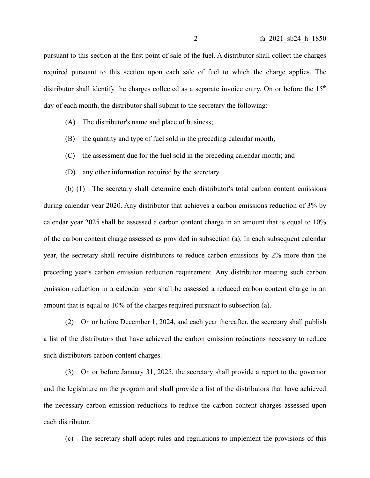pursuant to this section at the first point of sale of the fuel. A distributor shall collect the charges required pursuant to this section upon each sale of fuel to which the charge applies. The distributor shall identify the charges collected as a separate invoice entry. On or before the  $15<sup>th</sup>$ day of each month, the distributor shall submit to the secretary the following:

- (A) The distributor's name and place of business;
- (B) the quantity and type of fuel sold in the preceding calendar month;
- (C) the assessment due for the fuel sold in the preceding calendar month; and
- (D) any other information required by the secretary.

(b) (1) The secretary shall determine each distributor's total carbon content emissions during calendar year 2020. Any distributor that achieves a carbon emissions reduction of 3% by calendar year 2025 shall be assessed a carbon content charge in an amount that is equal to 10% of the carbon content charge assessed as provided in subsection (a). In each subsequent calendar year, the secretary shall require distributors to reduce carbon emissions by 2% more than the preceding year's carbon emission reduction requirement. Any distributor meeting such carbon emission reduction in a calendar year shall be assessed a reduced carbon content charge in an amount that is equal to 10% of the charges required pursuant to subsection (a).

(2) On or before December 1, 2024, and each year thereafter, the secretary shall publish a list of the distributors that have achieved the carbon emission reductions necessary to reduce such distributors carbon content charges.

(3) On or before January 31, 2025, the secretary shall provide a report to the governor and the legislature on the program and shall provide a list of the distributors that have achieved the necessary carbon emission reductions to reduce the carbon content charges assessed upon each distributor.

(c) The secretary shall adopt rules and regulations to implement the provisions of this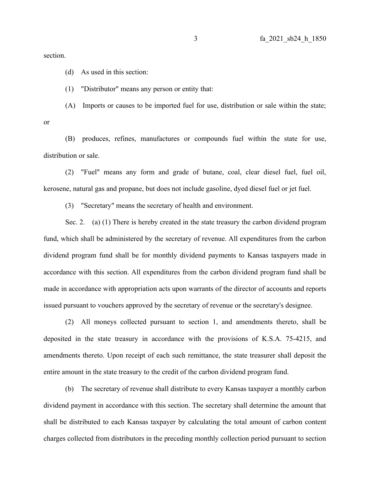section.

(d) As used in this section:

(1) "Distributor" means any person or entity that:

(A) Imports or causes to be imported fuel for use, distribution or sale within the state;

or

(B) produces, refines, manufactures or compounds fuel within the state for use, distribution or sale.

(2) "Fuel" means any form and grade of butane, coal, clear diesel fuel, fuel oil, kerosene, natural gas and propane, but does not include gasoline, dyed diesel fuel or jet fuel.

(3) "Secretary" means the secretary of health and environment.

Sec. 2. (a) (1) There is hereby created in the state treasury the carbon dividend program fund, which shall be administered by the secretary of revenue. All expenditures from the carbon dividend program fund shall be for monthly dividend payments to Kansas taxpayers made in accordance with this section. All expenditures from the carbon dividend program fund shall be made in accordance with appropriation acts upon warrants of the director of accounts and reports issued pursuant to vouchers approved by the secretary of revenue or the secretary's designee.

(2) All moneys collected pursuant to section 1, and amendments thereto, shall be deposited in the state treasury in accordance with the provisions of K.S.A. 75-4215, and amendments thereto. Upon receipt of each such remittance, the state treasurer shall deposit the entire amount in the state treasury to the credit of the carbon dividend program fund.

(b) The secretary of revenue shall distribute to every Kansas taxpayer a monthly carbon dividend payment in accordance with this section. The secretary shall determine the amount that shall be distributed to each Kansas taxpayer by calculating the total amount of carbon content charges collected from distributors in the preceding monthly collection period pursuant to section